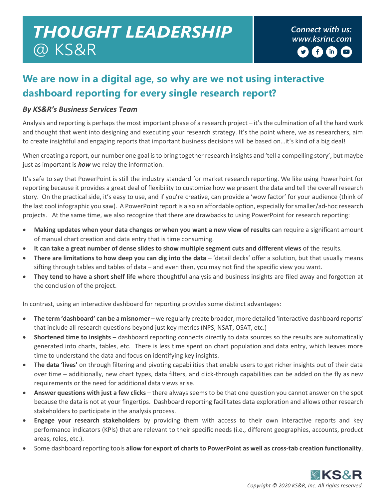## *Connect with us: THOUGHT LEADERSHIP [www.ksrinc.com](http://www.ksrinc.com/)* @ KS&R

## **We are now in a digital age, so why are we not using interactive dashboard reporting for every single research report?**

## *By KS&R's Business Services Team*

Analysis and reporting is perhaps the most important phase of a research project – it's the culmination of all the hard work and thought that went into designing and executing your research strategy. It's the point where, we as researchers, aim to create insightful and engaging reports that important business decisions will be based on…it's kind of a big deal!

When creating a report, our number one goal is to bring together research insights and 'tell a compelling story', but maybe just as important is *how* we relay the information.

It's safe to say that PowerPoint is still the industry standard for market research reporting. We like using PowerPoint for reporting because it provides a great deal of flexibility to customize how we present the data and tell the overall research story. On the practical side, it's easy to use, and if you're creative, can provide a 'wow factor' for your audience (think of the last cool infographic you saw). A PowerPoint report is also an affordable option, especially for smaller/ad-hoc research projects. At the same time, we also recognize that there are drawbacks to using PowerPoint for research reporting:

- **Making updates when your data changes or when you want a new view of results** can require a significant amount of manual chart creation and data entry that is time consuming.
- **It can take a great number of dense slides to show multiple segment cuts and different views** of the results.
- **There are limitations to how deep you can dig into the data** 'detail decks' offer a solution, but that usually means sifting through tables and tables of data – and even then, you may not find the specific view you want.
- **They tend to have a short shelf life** where thoughtful analysis and business insights are filed away and forgotten at the conclusion of the project.

In contrast, using an interactive dashboard for reporting provides some distinct advantages:

- **The term 'dashboard' can be a misnomer** we regularly create broader, more detailed 'interactive dashboard reports' that include all research questions beyond just key metrics (NPS, NSAT, OSAT, etc.)
- **Shortened time to insights** dashboard reporting connects directly to data sources so the results are automatically generated into charts, tables, etc. There is less time spent on chart population and data entry, which leaves more time to understand the data and focus on identifying key insights.
- **The data 'lives'** on through filtering and pivoting capabilities that enable users to get richer insights out of their data over time – additionally, new chart types, data filters, and click-through capabilities can be added on the fly as new requirements or the need for additional data views arise.
- **Answer questions with just a few clicks** there always seems to be that one question you cannot answer on the spot because the data is not at your fingertips. Dashboard reporting facilitates data exploration and allows other research stakeholders to participate in the analysis process.
- **Engage your research stakeholders** by providing them with access to their own interactive reports and key performance indicators (KPIs) that are relevant to their specific needs (i.e., different geographies, accounts, product areas, roles, etc.).
- Some dashboard reporting tools **allow for export of charts to PowerPoint as well as cross-tab creation functionality**.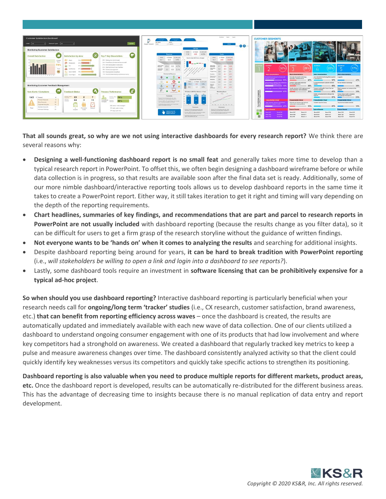

**That all sounds great, so why are we not using interactive dashboards for every research report?** We think there are several reasons why:

- **Designing a well-functioning dashboard report is no small feat** and generally takes more time to develop than a typical research report in PowerPoint. To offset this, we often begin designing a dashboard wireframe before or while data collection is in progress, so that results are available soon after the final data set is ready. Additionally, some of our more nimble dashboard/interactive reporting tools allows us to develop dashboard reports in the same time it takes to create a PowerPoint report. Either way, it still takes iteration to get it right and timing will vary depending on the depth of the reporting requirements.
- **Chart headlines, summaries of key findings, and recommendations that are part and parcel to research reports in PowerPoint are not usually included** with dashboard reporting (because the results change as you filter data), so it can be difficult for users to get a firm grasp of the research storyline without the guidance of written findings.
- **Not everyone wants to be 'hands on' when it comes to analyzing the results** and searching for additional insights.
- Despite dashboard reporting being around for years, **it can be hard to break tradition with PowerPoint reporting**  (i.e., *will stakeholders be willing to open a link and login into a dashboard to see reports?*).
- Lastly, some dashboard tools require an investment in **software licensing that can be prohibitively expensive for a typical ad-hoc project**.

**So when should you use dashboard reporting?** Interactive dashboard reporting is particularly beneficial when your research needs call for **ongoing/long term 'tracker' studies** (i.e., CX research, customer satisfaction, brand awareness, etc.) **that can benefit from reporting efficiency across waves** – once the dashboard is created, the results are automatically updated and immediately available with each new wave of data collection. One of our clients utilized a dashboard to understand ongoing consumer engagement with one of its products that had low involvement and where key competitors had a stronghold on awareness. We created a dashboard that regularly tracked key metrics to keep a pulse and measure awareness changes over time. The dashboard consistently analyzed activity so that the client could quickly identify key weaknesses versus its competitors and quickly take specific actions to strengthen its positioning.

**Dashboard reporting is also valuable when you need to produce multiple reports for different markets, product areas, etc.** Once the dashboard report is developed, results can be automatically re-distributed for the different business areas. This has the advantage of decreasing time to insights because there is no manual replication of data entry and report development.